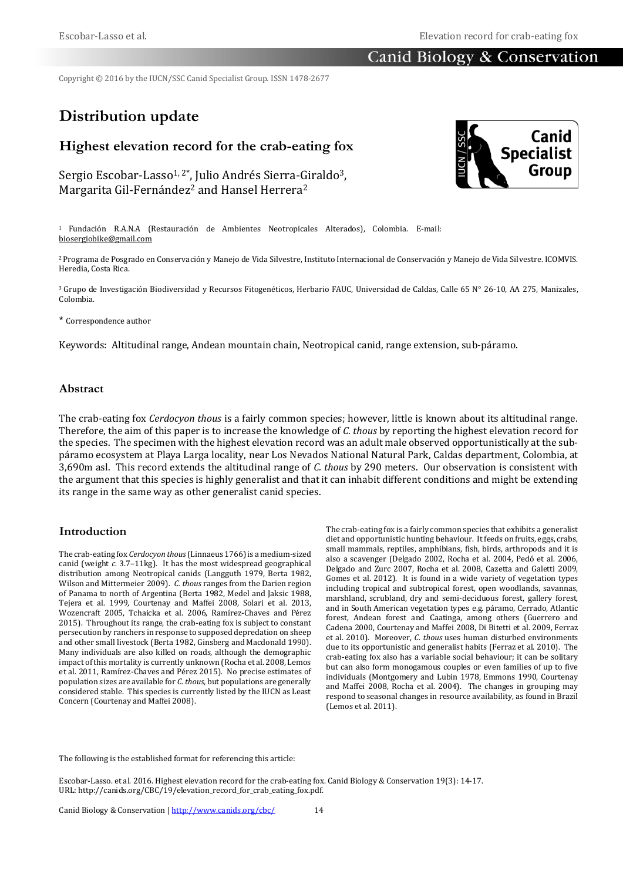# Canid Biology & Conservation

Copyright © 2016 by the IUCN/SSC Canid Specialist Group. ISSN 1478-2677

# **Distribution update**

# **Highest elevation record for the crab-eating fox**

Sergio Escobar-Lasso<sup>1, 2\*</sup>, Julio Andrés Sierra-Giraldo<sup>3</sup>, Margarita Gil-Fernández<sup>2</sup> and Hansel Herrera<sup>2</sup>



<sup>2</sup>Programa de Posgrado en Conservación y Manejo de Vida Silvestre, Instituto Internacional de Conservación y Manejo de Vida Silvestre. ICOMVIS. Heredia, Costa Rica.

<sup>3</sup> Grupo de Investigación Biodiversidad y Recursos Fitogenéticos, Herbario FAUC, Universidad de Caldas, Calle 65 N° 26-10, AA 275, Manizales, Colombia.

\* Correspondence author

Keywords: Altitudinal range, Andean mountain chain, Neotropical canid, range extension, sub-páramo.

#### **Abstract**

The crab-eating fox *Cerdocyon thous* is a fairly common species; however, little is known about its altitudinal range. Therefore, the aim of this paper is to increase the knowledge of *C*. *thous* by reporting the highest elevation record for the species. The specimen with the highest elevation record was an adult male observed opportunistically at the subpáramo ecosystem at Playa Larga locality, near Los Nevados National Natural Park, Caldas department, Colombia, at 3,690m asl. This record extends the altitudinal range of *C. thous* by 290 meters. Our observation is consistent with the argument that this species is highly generalist and that it can inhabit different conditions and might be extending its range in the same way as other generalist canid species.

#### **Introduction**

The crab-eating fox *Cerdocyon thous* (Linnaeus 1766) is a medium-sized canid (weight *c.* 3.7–11kg). It has the most widespread geographical distribution among Neotropical canids (Langguth 1979, Berta 1982, Wilson and Mittermeier 2009). *C. thous* ranges from the Darien region of Panama to north of Argentina (Berta 1982, Medel and Jaksic 1988, Tejera et al. 1999, Courtenay and Maffei 2008, Solari et al. 2013, Wozencraft 2005, Tchaicka et al. 2006, Ramírez-Chaves and Pérez 2015). Throughout its range, the crab-eating fox is subject to constant persecution by ranchers in response to supposed depredation on sheep and other small livestock (Berta 1982, Ginsberg and Macdonald 1990). Many individuals are also killed on roads, although the demographic impact of this mortality is currently unknown (Rocha et al. 2008, Lemos et al. 2011, Ramírez-Chaves and Pérez 2015). No precise estimates of population sizes are available for *C*. *thous,* but populations are generally considered stable. This species is currently listed by the IUCN as Least Concern (Courtenay and Maffei 2008).

The crab-eating fox is a fairly common species that exhibits a generalist diet and opportunistic hunting behaviour. It feeds on fruits, eggs, crabs, small mammals, reptiles, amphibians, fish, birds, arthropods and it is also a scavenger (Delgado 2002, Rocha et al. 2004, Pedó et al. 2006, Delgado and Zurc 2007, Rocha et al. 2008, Cazetta and Galetti 2009, Gomes et al. 2012). It is found in a wide variety of vegetation types including tropical and subtropical forest, open woodlands, savannas, marshland, scrubland, dry and semi-deciduous forest, gallery forest, and in South American vegetation types e.g. páramo, Cerrado, Atlantic forest, Andean forest and Caatinga, among others (Guerrero and Cadena 2000, Courtenay and Maffei 2008, Di Bitetti et al. 2009, Ferraz et al. 2010). Moreover, *C*. *thous* uses human disturbed environments due to its opportunistic and generalist habits (Ferraz et al. 2010). The crab-eating fox also has a variable social behaviour; it can be solitary but can also form monogamous couples or even families of up to five individuals (Montgomery and Lubin 1978, Emmons 1990, Courtenay and Maffei 2008, Rocha et al. 2004). The changes in grouping may respond to seasonal changes in resource availability, as found in Brazil (Lemos et al. 2011).

The following is the established format for referencing this article:

Escobar-Lasso. et al. 2016. Highest elevation record for the crab-eating fox. Canid Biology & Conservation 19(3): 14-17. URL: http://canids.org/CBC/19/elevation\_record\_for\_crab\_eating\_fox.pdf.

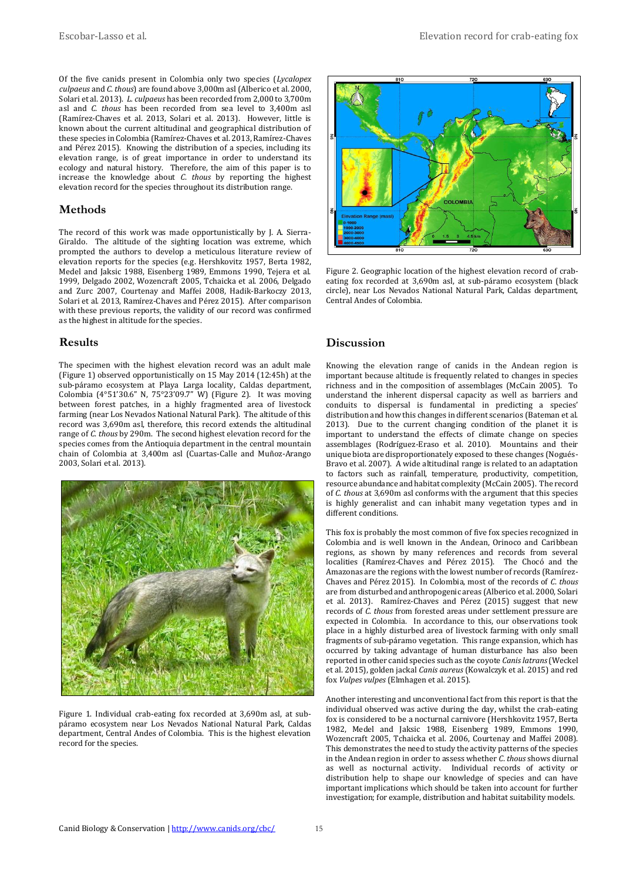Of the five canids present in Colombia only two species (*Lycalopex culpaeus* and *C*. *thous*) are found above 3,000m asl (Alberico et al. 2000, Solari et al. 2013). *L. culpaeus* has been recorded from 2,000 to 3,700m asl and *C. thous* has been recorded from sea level to 3,400m asl (Ramírez-Chaves et al. 2013, Solari et al. 2013). However, little is known about the current altitudinal and geographical distribution of these species in Colombia (Ramírez-Chaves et al. 2013, Ramírez-Chaves and Pérez 2015). Knowing the distribution of a species, including its elevation range, is of great importance in order to understand its ecology and natural history. Therefore, the aim of this paper is to increase the knowledge about *C*. *thous* by reporting the highest elevation record for the species throughout its distribution range.

## **Methods**

The record of this work was made opportunistically by J. A. Sierra-Giraldo. The altitude of the sighting location was extreme, which prompted the authors to develop a meticulous literature review of elevation reports for the species (e.g. Hershkovitz 1957, Berta 1982, Medel and Jaksic 1988, Eisenberg 1989, Emmons 1990, Tejera et al. 1999, Delgado 2002, Wozencraft 2005, Tchaicka et al. 2006, Delgado and Zurc 2007, Courtenay and Maffei 2008, Hadik-Barkoczy 2013, Solari et al. 2013, Ramírez-Chaves and Pérez 2015). After comparison with these previous reports, the validity of our record was confirmed as the highest in altitude for the species.

#### **Results**

The specimen with the highest elevation record was an adult male (Figure 1) observed opportunistically on 15 May 2014 (12:45h) at the sub-páramo ecosystem at Playa Larga locality, Caldas department, Colombia (4°51'30.6" N, 75°23'09.7" W) (Figure 2). It was moving between forest patches, in a highly fragmented area of livestock farming (near Los Nevados National Natural Park). The altitude of this record was 3,690m asl, therefore, this record extends the altitudinal range of *C*. *thous* by 290m. The second highest elevation record for the species comes from the Antioquia department in the central mountain chain of Colombia at 3,400m asl (Cuartas-Calle and Muñoz-Arango 2003, Solari et al. 2013).



Figure 1. Individual crab-eating fox recorded at 3,690m asl, at subpáramo ecosystem near Los Nevados National Natural Park, Caldas department, Central Andes of Colombia. This is the highest elevation record for the species.



Figure 2. Geographic location of the highest elevation record of crabeating fox recorded at 3,690m asl, at sub-páramo ecosystem (black circle), near Los Nevados National Natural Park, Caldas department, Central Andes of Colombia.

### **Discussion**

Knowing the elevation range of canids in the Andean region is important because altitude is frequently related to changes in species richness and in the composition of assemblages (McCain 2005). To understand the inherent dispersal capacity as well as barriers and conduits to dispersal is fundamental in predicting a species' distribution and how this changes in different scenarios (Bateman et al. 2013). Due to the current changing condition of the planet it is important to understand the effects of climate change on species assemblages (Rodríguez-Eraso et al. 2010). Mountains and their unique biota are disproportionately exposed to these changes (Nogués-Bravo et al. 2007). A wide altitudinal range is related to an adaptation to factors such as rainfall, temperature, productivity, competition, resource abundance and habitat complexity (McCain 2005). The record of *C*. *thous* at 3,690m asl conforms with the argument that this species is highly generalist and can inhabit many vegetation types and in different conditions.

This fox is probably the most common of five fox species recognized in Colombia and is well known in the Andean, Orinoco and Caribbean regions, as shown by many references and records from several localities (Ramírez-Chaves and Pérez 2015). The Chocó and the Amazonas are the regions with the lowest number of records (Ramírez-Chaves and Pérez 2015). In Colombia, most of the records of *C*. *thous* are from disturbed and anthropogenic areas (Alberico et al. 2000, Solari et al. 2013). Ramírez-Chaves and Pérez (2015) suggest that new records of *C*. *thous* from forested areas under settlement pressure are expected in Colombia. In accordance to this, our observations took place in a highly disturbed area of livestock farming with only small fragments of sub-páramo vegetation. This range expansion, which has occurred by taking advantage of human disturbance has also been reported in other canid species such as the coyote *Canis latrans*(Weckel et al. 2015), golden jackal *Canis aureus* (Kowalczyk et al. 2015) and red fox *Vulpes vulpes* (Elmhagen et al. 2015).

Another interesting and unconventional fact from this report is that the individual observed was active during the day, whilst the crab-eating fox is considered to be a nocturnal carnivore (Hershkovitz 1957, Berta 1982, Medel and Jaksic 1988, Eisenberg 1989, Emmons 1990, Wozencraft 2005, Tchaicka et al. 2006, Courtenay and Maffei 2008). This demonstrates the need to study the activity patterns of the species in the Andean region in order to assess whether *C*. *thous* shows diurnal as well as nocturnal activity. Individual records of activity or distribution help to shape our knowledge of species and can have important implications which should be taken into account for further investigation; for example, distribution and habitat suitability models.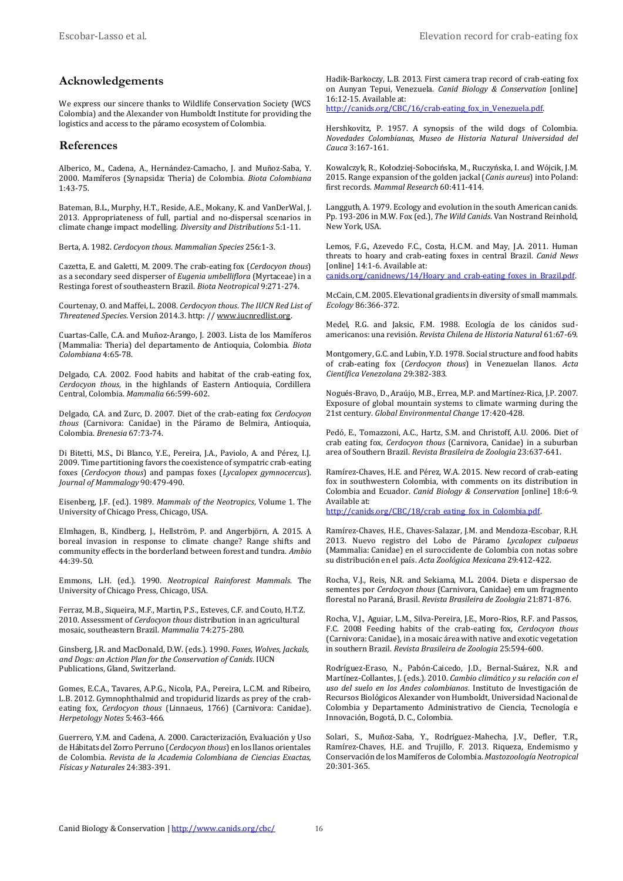### **Acknowledgements**

We express our sincere thanks to Wildlife Conservation Society (WCS Colombia) and the Alexander von Humboldt Institute for providing the logistics and access to the páramo ecosystem of Colombia.

#### **References**

Alberico, M., Cadena, A., Hernández-Camacho, J. and Muñoz-Saba, Y. 2000. Mamíferos (Synapsida: Theria) de Colombia. *Biota Colombiana* 1:43-75.

Bateman, B.L., Murphy, H.T., Reside, A.E., Mokany, K. and VanDerWal, J. 2013. Appropriateness of full, partial and no-dispersal scenarios in climate change impact modelling. *Diversity and Distributions* 5:1-11.

Berta, A. 1982. *Cerdocyon thous*. *Mammalian Species* 256:1-3.

Cazetta, E. and Galetti, M. 2009. The crab-eating fox (*Cerdocyon thous*) as a secondary seed disperser of *Eugenia umbelliflora* (Myrtaceae) in a Restinga forest of southeastern Brazil. *Biota Neotropical* 9:271-274.

Courtenay, O. and Maffei, L. 2008. *Cerdocyon thous*. *The IUCN Red List of Threatened Species*. Version 2014.3. http: /[/ www.iucnredlist.org.](http://www.iucnredlist.org/)

Cuartas-Calle, C.A. and Muñoz-Arango, J. 2003. Lista de los Mamíferos (Mammalia: Theria) del departamento de Antioquia, Colombia. *Biota Colombiana* 4:65-78.

Delgado, C.A. 2002. Food habits and habitat of the crab-eating fox, *Cerdocyon thous*, in the highlands of Eastern Antioquia, Cordillera Central, Colombia. *Mammalia* 66:599-602.

Delgado, C.A. and Zurc, D. 2007. Diet of the crab-eating fox *Cerdocyon thous* (Carnivora: Canidae) in the Páramo de Belmira, Antioquia, Colombia. *Brenesia* 67:73-74.

Di Bitetti, M.S., Di Blanco, Y.E., Pereira, J.A., Paviolo, A. and Pérez, I.J. 2009. Time partitioning favors the coexistence of sympatric crab-eating foxes (*Cerdocyon thous*) and pampas foxes (*Lycalopex gymnocercus*). *Journal of Mammalogy* 90:479-490.

Eisenberg, J.F. (ed.). 1989. *Mammals of the Neotropics*, Volume 1. The University of Chicago Press, Chicago, USA.

Elmhagen, B., Kindberg, J., Hellström, P. and Angerbjörn, A. 2015. A boreal invasion in response to climate change? Range shifts and community effects in the borderland between forest and tundra. *Ambio* 44:39-50.

Emmons, L.H. (ed.). 1990. *Neotropical Rainforest Mammals*. The University of Chicago Press, Chicago, USA.

Ferraz, M.B., Siqueira, M.F., Martin, P.S., Esteves, C.F. and Couto, H.T.Z. 2010. Assessment of *Cerdocyon thous* distribution in an agricultural mosaic, southeastern Brazil. *Mammalia* 74:275-280.

Ginsberg, J.R. and MacDonald, D.W. (eds.). 1990. *Foxes, Wolves, Jackals, and Dogs: an Action Plan for the Conservation of Canids*. IUCN Publications, Gland, Switzerland.

Gomes, E.C.A., Tavares, A.P.G., Nicola, P.A., Pereira, L.C.M. and Ribeiro, L.B. 2012. Gymnophthalmid and tropidurid lizards as prey of the crabeating fox, *Cerdocyon thous* (Linnaeus, 1766) (Carnivora: Canidae). *Herpetology Notes* 5:463-466.

Guerrero, Y.M. and Cadena, A. 2000. Caracterización, Evaluación y Uso de Hábitats del Zorro Perruno (*Cerdocyon thous*) en los llanos orientales de Colombia. *Revista de la Academia Colombiana de Ciencias Exactas, Físicas y Naturales* 24:383-391.

Hadik-Barkoczy, L.B. 2013. First camera trap record of crab-eating fox on Aunyan Tepui, Venezuela. *Canid Biology & Conservation* [online] 16:12-15. Available at:

[http://canids.org/CBC/16/crab-eating\\_fox\\_in\\_Venezuela.pdf.](http://www.canids.org/CBC/16/crab-eating_fox_in_Venezuela.pdf)

Hershkovitz, P. 1957. A synopsis of the wild dogs of Colombia. *Novedades Colombianas, Museo de Historia Natural Universidad del Cauca* 3:167-161.

Kowalczyk, R., Kołodziej-Sobocińska, M., Ruczyńska, I. and Wójcik, J.M. 2015. Range expansion of the golden jackal (*Canis aureus*) into Poland: first records. *Mammal Research* 60:411-414.

Langguth, A. 1979. Ecology and evolution in the south American canids. Pp. 193-206 in M.W. Fox (ed.), *The Wild Canids*. Van Nostrand Reinhold, New York, USA.

Lemos, F.G., Azevedo F.C., Costa, H.C.M. and May, J.A. 2011. Human threats to hoary and crab-eating foxes in central Brazil. *Canid News* [online] 14:1-6. Available at:

canids.org/canidnews/14/Hoary and crab-eating foxes in Brazil.pdf.

McCain, C.M. 2005. Elevational gradients in diversity of small mammals. *Ecology* 86:366-372.

Medel, R.G. and Jaksic, F.M. 1988. Ecología de los cánidos sudamericanos: una revisión. *Revista Chilena de Historia Natural* 61:67-69.

Montgomery, G.C. and Lubin, Y.D. 1978. Social structure and food habits of crab-eating fox (*Cerdocyon thous*) in Venezuelan llanos. *Acta Científica Venezolana* 29:382-383.

Nogués-Bravo, D., Araújo, M.B., Errea, M.P. and Martínez-Rica, J.P. 2007. Exposure of global mountain systems to climate warming during the 21st century. *Global Environmental Change* 17:420-428.

Pedó, E., Tomazzoni, A.C., Hartz, S.M. and Christoff, A.U. 2006. Diet of crab eating fox, *Cerdocyon thous* (Carnivora, Canidae) in a suburban area of Southern Brazil. *Revista Brasileira de Zoologia* 23:637-641.

Ramírez-Chaves, H.E. and Pérez, W.A. 2015. New record of crab-eating fox in southwestern Colombia, with comments on its distribution in Colombia and Ecuador. *Canid Biology & Conservation* [online] 18:6-9. Available at:

[http://canids.org/CBC/18/crab\\_eating\\_fox\\_in\\_Colombia.pdf.](http://www.canids.org/CBC/18/crab_eating_fox_in_Colombia.pdf)

Ramírez-Chaves, H.E., Chaves-Salazar, J.M. and Mendoza-Escobar, R.H. 2013. Nuevo registro del Lobo de Páramo *Lycalopex culpaeus*  (Mammalia: Canidae) en el suroccidente de Colombia con notas sobre su distribución en el país. *Acta Zoológica Mexicana* 29:412-422.

Rocha, V.J., Reis, N.R. and Sekiama, M.L. 2004. Dieta e dispersao de sementes por *Cerdocyon thous* (Carnivora, Canidae) em um fragmento florestal no Paraná, Brasil. *Revista Brasileira de Zoologia* 21:871-876.

Rocha, V.J., Aguiar, L.M., Silva-Pereira, J.E., Moro-Rios, R.F. and Passos, F.C. 2008 Feeding habits of the crab-eating fox, *Cerdocyon thous* (Carnivora: Canidae), in a mosaic área with native and exotic vegetation in southern Brazil. *Revista Brasileira de Zoologia* 25:594-600.

Rodríguez-Eraso, N., Pabón-Caicedo, J.D., Bernal-Suárez, N.R. and Martínez-Collantes, J. (eds.). 2010. *Cambio climático y su relación con el uso del suelo en los Andes colombianos*. Instituto de Investigación de Recursos Biológicos Alexander von Humboldt, Universidad Nacional de Colombia y Departamento Administrativo de Ciencia, Tecnología e Innovación, Bogotá, D. C., Colombia.

Solari, S., Muñoz-Saba, Y., Rodríguez-Mahecha, J.V., Defler, T.R., Ramírez-Chaves, H.E. and Trujillo, F. 2013. Riqueza, Endemismo y Conservación de los Mamíferos de Colombia. *Mastozoología Neotropical* 20:301-365.